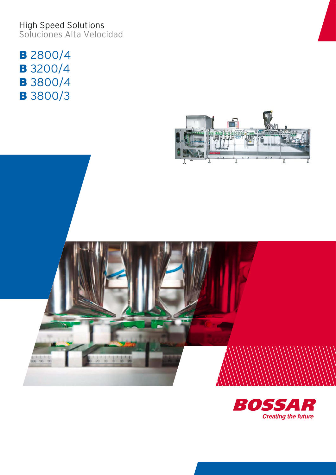High Speed Solutions Soluciones Alta Velocidad

**B** 2800/4 **B** 3200/4 **B** 3800/4 **B** 3800/3



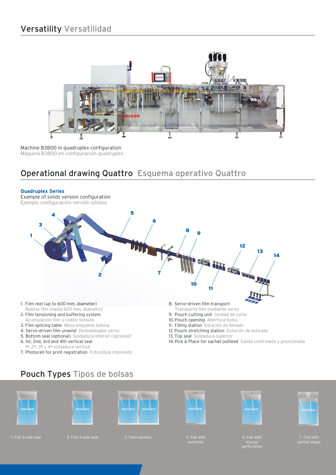# Versatility Versatilidad



Machine B3800 in quadruplex configuration Máquina B3800 en configuración quadruplex

## Operational drawing Quattro Esquema operativo Quattro



Pouch Types Tipos de bolsas









5. Flat with<br>eurohole







7. Flat with partial shape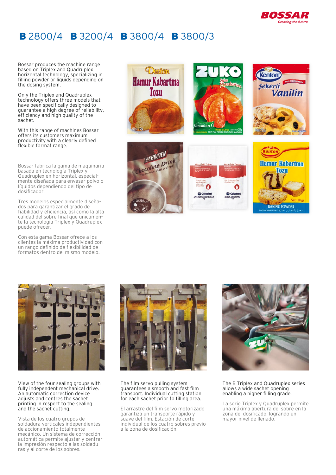

# **B** 2800/4 **B** 3200/4 **B** 3800/4 **B** 3800/3

Bossar produces the machine range based on Triplex and Quadruplex horizontal technology, specializing in filling powder or liquids depending on the dosing system.

Only the Triplex and Quadruplex technology offers three models that have been specifically designed to guarantee a high degree of reliability, efficiency and high quality of the sachet.

With this range of machines Bossar offers its customers maximum productivity with a clearly defined flexible format range.

Bossar fabrica la gama de maquinaria basada en tecnología Triplex y Quadruplex en horizontal, especialmente diseñada para envasar polvo o líquidos dependiendo del tipo de dosificador.

Tres modelos especialmente diseñados para garantizar el grado de fiabilidad y eficiencia, así como la alta calidad del sobre final que unicamente la tecnología Triplex y Quadruplex puede ofrecer.

Con esta gama Bossar ofrece a los clientes la máxima productividad con un rango definido de flexibilidad de formatos dentro del mismo modelo.





View of the four sealing groups with fully independent mechanical drive. An automatic correction device adjusts and centres the sachet printing in respect to the sealing and the sachet cutting.

Vista de los cuatro grupos de soldadura verticales independientes de accionamiento totalmente mecánico. Un sistema de corrección automática permite ajustar y centrar la impresión respecto a las soldaduras y al corte de los sobres.



The film servo pulling system guarantees a smooth and fast film transport. Individual cutting station for each sachet prior to filling area.

El arrastre del film servo motorizado garantiza un transporte rápido y suave del film. Estación de corte individual de los cuatro sobres previo a la zona de dosificación.



The B Triplex and Quadruplex series allows a wide sachet opening enabling a higher filling grade.

La serie Triplex y Quadruplex permite una máxima abertura del sobre en la zona del dosificado, logrando un mayor nivel de llenado.